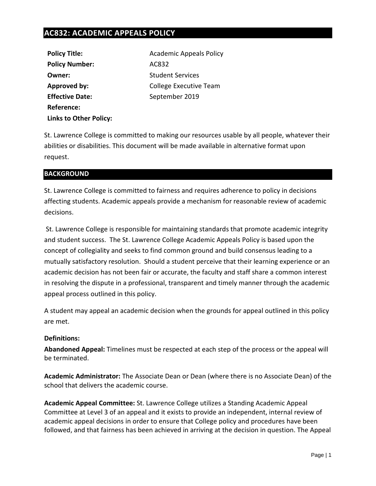## **AC832: ACADEMIC APPEALS POLICY**

| <b>Policy Title:</b>          |
|-------------------------------|
| <b>Policy Number:</b>         |
| Owner:                        |
| <b>Approved by:</b>           |
| <b>Effective Date:</b>        |
| Reference:                    |
| <b>Links to Other Policy:</b> |

**Academic Appeals Policy Policy Number:** AC832 **Student Services Approved by:** College Executive Team **Effective Date:** September 2019

St. Lawrence College is committed to making our resources usable by all people, whatever their abilities or disabilities. This document will be made available in alternative format upon request.

### **BACKGROUND**

St. Lawrence College is committed to fairness and requires adherence to policy in decisions affecting students. Academic appeals provide a mechanism for reasonable review of academic decisions.

St. Lawrence College is responsible for maintaining standards that promote academic integrity and student success. The St. Lawrence College Academic Appeals Policy is based upon the concept of collegiality and seeks to find common ground and build consensus leading to a mutually satisfactory resolution. Should a student perceive that their learning experience or an academic decision has not been fair or accurate, the faculty and staff share a common interest in resolving the dispute in a professional, transparent and timely manner through the academic appeal process outlined in this policy.

A student may appeal an academic decision when the grounds for appeal outlined in this policy are met.

#### **Definitions:**

**Abandoned Appeal:** Timelines must be respected at each step of the process or the appeal will be terminated.

**Academic Administrator:** The Associate Dean or Dean (where there is no Associate Dean) of the school that delivers the academic course.

**Academic Appeal Committee:** St. Lawrence College utilizes a Standing Academic Appeal Committee at Level 3 of an appeal and it exists to provide an independent, internal review of academic appeal decisions in order to ensure that College policy and procedures have been followed, and that fairness has been achieved in arriving at the decision in question. The Appeal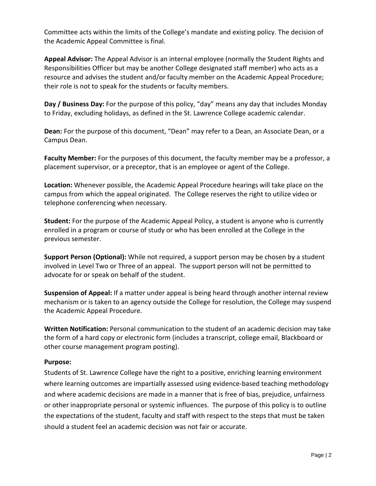Committee acts within the limits of the College's mandate and existing policy. The decision of the Academic Appeal Committee is final.

**Appeal Advisor:** The Appeal Advisor is an internal employee (normally the Student Rights and Responsibilities Officer but may be another College designated staff member) who acts as a resource and advises the student and/or faculty member on the Academic Appeal Procedure; their role is not to speak for the students or faculty members.

**Day / Business Day:** For the purpose of this policy, "day" means any day that includes Monday to Friday, excluding holidays, as defined in the St. Lawrence College academic calendar.

**Dean:** For the purpose of this document, "Dean" may refer to a Dean, an Associate Dean, or a Campus Dean.

**Faculty Member:** For the purposes of this document, the faculty member may be a professor, a placement supervisor, or a preceptor, that is an employee or agent of the College.

**Location:** Whenever possible, the Academic Appeal Procedure hearings will take place on the campus from which the appeal originated. The College reserves the right to utilize video or telephone conferencing when necessary.

**Student:** For the purpose of the Academic Appeal Policy, a student is anyone who is currently enrolled in a program or course of study or who has been enrolled at the College in the previous semester.

**Support Person (Optional):** While not required, a support person may be chosen by a student involved in Level Two or Three of an appeal. The support person will not be permitted to advocate for or speak on behalf of the student.

**Suspension of Appeal:** If a matter under appeal is being heard through another internal review mechanism or is taken to an agency outside the College for resolution, the College may suspend the Academic Appeal Procedure.

**Written Notification:** Personal communication to the student of an academic decision may take the form of a hard copy or electronic form (includes a transcript, college email, Blackboard or other course management program posting).

#### **Purpose:**

Students of St. Lawrence College have the right to a positive, enriching learning environment where learning outcomes are impartially assessed using evidence-based teaching methodology and where academic decisions are made in a manner that is free of bias, prejudice, unfairness or other inappropriate personal or systemic influences. The purpose of this policy is to outline the expectations of the student, faculty and staff with respect to the steps that must be taken should a student feel an academic decision was not fair or accurate.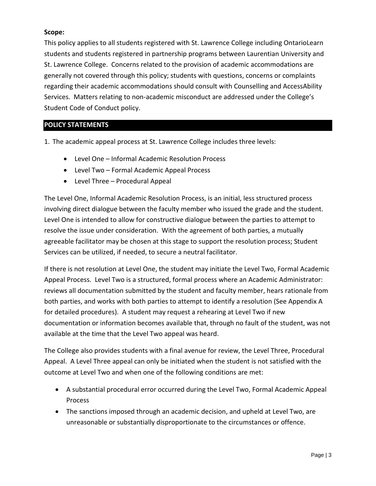#### **Scope:**

This policy applies to all students registered with St. Lawrence College including OntarioLearn students and students registered in partnership programs between Laurentian University and St. Lawrence College. Concerns related to the provision of academic accommodations are generally not covered through this policy; students with questions, concerns or complaints regarding their academic accommodations should consult with Counselling and AccessAbility Services. Matters relating to non-academic misconduct are addressed under the College's Student Code of Conduct policy.

## **POLICY STATEMENTS**

1. The academic appeal process at St. Lawrence College includes three levels:

- Level One Informal Academic Resolution Process
- Level Two Formal Academic Appeal Process
- Level Three Procedural Appeal

The Level One, Informal Academic Resolution Process, is an initial, less structured process involving direct dialogue between the faculty member who issued the grade and the student. Level One is intended to allow for constructive dialogue between the parties to attempt to resolve the issue under consideration. With the agreement of both parties, a mutually agreeable facilitator may be chosen at this stage to support the resolution process; Student Services can be utilized, if needed, to secure a neutral facilitator.

If there is not resolution at Level One, the student may initiate the Level Two, Formal Academic Appeal Process. Level Two is a structured, formal process where an Academic Administrator: reviews all documentation submitted by the student and faculty member, hears rationale from both parties, and works with both parties to attempt to identify a resolution (See Appendix A for detailed procedures). A student may request a rehearing at Level Two if new documentation or information becomes available that, through no fault of the student, was not available at the time that the Level Two appeal was heard.

The College also provides students with a final avenue for review, the Level Three, Procedural Appeal. A Level Three appeal can only be initiated when the student is not satisfied with the outcome at Level Two and when one of the following conditions are met:

- A substantial procedural error occurred during the Level Two, Formal Academic Appeal Process
- The sanctions imposed through an academic decision, and upheld at Level Two, are unreasonable or substantially disproportionate to the circumstances or offence.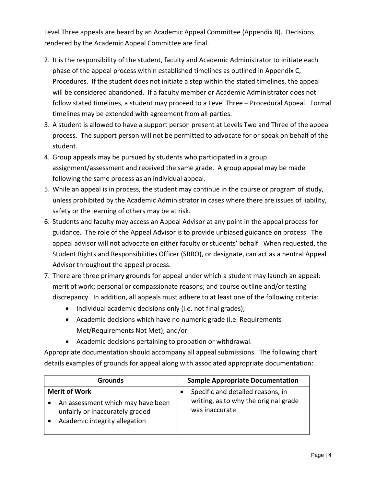Level Three appeals are heard by an Academic Appeal Committee (Appendix B). Decisions rendered by the Academic Appeal Committee are final.

- 2. It is the responsibility of the student, faculty and Academic Administrator to initiate each phase of the appeal process within established timelines as outlined in Appendix C, Procedures. If the student does not initiate a step within the stated timelines, the appeal will be considered abandoned. If a faculty member or Academic Administrator does not follow stated timelines, a student may proceed to a Level Three – Procedural Appeal. Formal timelines may be extended with agreement from all parties.
- 3. A student is allowed to have a support person present at Levels Two and Three of the appeal process. The support person will not be permitted to advocate for or speak on behalf of the student.
- 4. Group appeals may be pursued by students who participated in a group assignment/assessment and received the same grade. A group appeal may be made following the same process as an individual appeal.
- 5. While an appeal is in process, the student may continue in the course or program of study, unless prohibited by the Academic Administrator in cases where there are issues of liability, safety or the learning of others may be at risk.
- 6. Students and faculty may access an Appeal Advisor at any point in the appeal process for guidance. The role of the Appeal Advisor is to provide unbiased guidance on process. The appeal advisor will not advocate on either faculty or students' behalf. When requested, the Student Rights and Responsibilities Officer (SRRO), or designate, can act as a neutral Appeal Advisor throughout the appeal process.
- 7. There are three primary grounds for appeal under which a student may launch an appeal: merit of work; personal or compassionate reasons; and course outline and/or testing discrepancy. In addition, all appeals must adhere to at least one of the following criteria:
	- Individual academic decisions only (i.e. not final grades);
	- Academic decisions which have no numeric grade (i.e. Requirements Met/Requirements Not Met); and/or
	- Academic decisions pertaining to probation or withdrawal.

Appropriate documentation should accompany all appeal submissions. The following chart details examples of grounds for appeal along with associated appropriate documentation:

| Grounds              |                                                                      | <b>Sample Appropriate Documentation</b> |                                                         |
|----------------------|----------------------------------------------------------------------|-----------------------------------------|---------------------------------------------------------|
| <b>Merit of Work</b> |                                                                      |                                         | Specific and detailed reasons, in                       |
|                      | An assessment which may have been<br>unfairly or inaccurately graded |                                         | writing, as to why the original grade<br>was inaccurate |
|                      | Academic integrity allegation                                        |                                         |                                                         |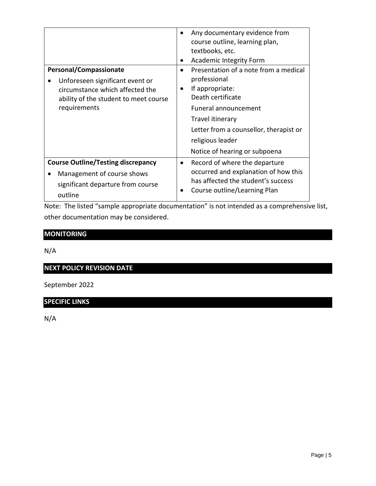| Personal/Compassionate<br>Unforeseen significant event or<br>circumstance which affected the<br>ability of the student to meet course<br>requirements | Any documentary evidence from<br>٠<br>course outline, learning plan,<br>textbooks, etc.<br><b>Academic Integrity Form</b><br>٠<br>Presentation of a note from a medical<br>$\bullet$<br>professional<br>If appropriate:<br>٠<br>Death certificate<br>Funeral announcement<br>Travel itinerary<br>Letter from a counsellor, therapist or<br>religious leader |  |
|-------------------------------------------------------------------------------------------------------------------------------------------------------|-------------------------------------------------------------------------------------------------------------------------------------------------------------------------------------------------------------------------------------------------------------------------------------------------------------------------------------------------------------|--|
|                                                                                                                                                       | Notice of hearing or subpoena                                                                                                                                                                                                                                                                                                                               |  |
| <b>Course Outline/Testing discrepancy</b><br>Management of course shows<br>significant departure from course<br>outline                               | Record of where the departure<br>$\bullet$<br>occurred and explanation of how this<br>has affected the student's success<br>Course outline/Learning Plan                                                                                                                                                                                                    |  |

Note: The listed "sample appropriate documentation" is not intended as a comprehensive list, other documentation may be considered.

## **MONITORING**

N/A

# **NEXT POLICY REVISION DATE**

September 2022

## **SPECIFIC LINKS**

N/A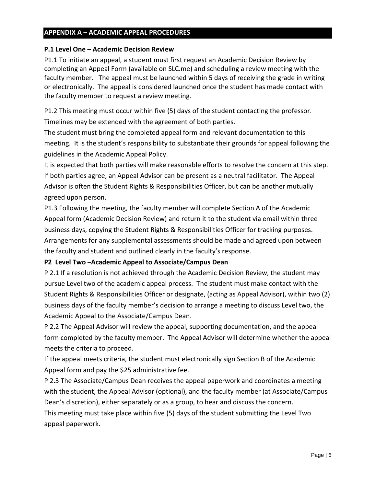#### **APPENDIX A – ACADEMIC APPEAL PROCEDURES**

#### **P.1 Level One – Academic Decision Review**

P1.1 To initiate an appeal, a student must first request an Academic Decision Review by completing an Appeal Form (available on SLC.me) and scheduling a review meeting with the faculty member. The appeal must be launched within 5 days of receiving the grade in writing or electronically. The appeal is considered launched once the student has made contact with the faculty member to request a review meeting.

P1.2 This meeting must occur within five (5) days of the student contacting the professor. Timelines may be extended with the agreement of both parties.

The student must bring the completed appeal form and relevant documentation to this meeting. It is the student's responsibility to substantiate their grounds for appeal following the guidelines in the Academic Appeal Policy.

It is expected that both parties will make reasonable efforts to resolve the concern at this step. If both parties agree, an Appeal Advisor can be present as a neutral facilitator. The Appeal Advisor is often the Student Rights & Responsibilities Officer, but can be another mutually agreed upon person.

P1.3 Following the meeting, the faculty member will complete Section A of the Academic Appeal form (Academic Decision Review) and return it to the student via email within three business days, copying the Student Rights & Responsibilities Officer for tracking purposes. Arrangements for any supplemental assessments should be made and agreed upon between the faculty and student and outlined clearly in the faculty's response.

#### **P2 Level Two –Academic Appeal to Associate/Campus Dean**

P 2.1 If a resolution is not achieved through the Academic Decision Review, the student may pursue Level two of the academic appeal process. The student must make contact with the Student Rights & Responsibilities Officer or designate, (acting as Appeal Advisor), within two (2) business days of the faculty member's decision to arrange a meeting to discuss Level two, the Academic Appeal to the Associate/Campus Dean.

P 2.2 The Appeal Advisor will review the appeal, supporting documentation, and the appeal form completed by the faculty member. The Appeal Advisor will determine whether the appeal meets the criteria to proceed.

If the appeal meets criteria, the student must electronically sign Section B of the Academic Appeal form and pay the \$25 administrative fee.

P 2.3 The Associate/Campus Dean receives the appeal paperwork and coordinates a meeting with the student, the Appeal Advisor (optional), and the faculty member (at Associate/Campus Dean's discretion), either separately or as a group, to hear and discuss the concern.

This meeting must take place within five (5) days of the student submitting the Level Two appeal paperwork.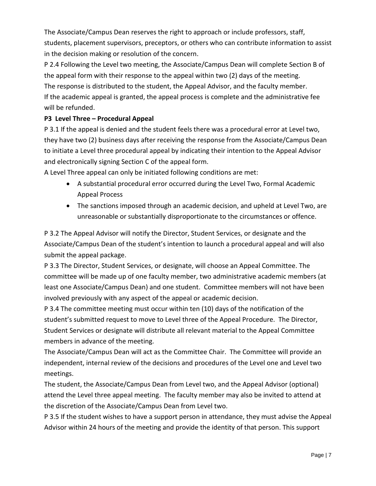The Associate/Campus Dean reserves the right to approach or include professors, staff, students, placement supervisors, preceptors, or others who can contribute information to assist in the decision making or resolution of the concern.

P 2.4 Following the Level two meeting, the Associate/Campus Dean will complete Section B of the appeal form with their response to the appeal within two (2) days of the meeting. The response is distributed to the student, the Appeal Advisor, and the faculty member. If the academic appeal is granted, the appeal process is complete and the administrative fee will be refunded.

## **P3 Level Three – Procedural Appeal**

P 3.1 If the appeal is denied and the student feels there was a procedural error at Level two, they have two (2) business days after receiving the response from the Associate/Campus Dean to initiate a Level three procedural appeal by indicating their intention to the Appeal Advisor and electronically signing Section C of the appeal form.

A Level Three appeal can only be initiated following conditions are met:

- A substantial procedural error occurred during the Level Two, Formal Academic Appeal Process
- The sanctions imposed through an academic decision, and upheld at Level Two, are unreasonable or substantially disproportionate to the circumstances or offence.

P 3.2 The Appeal Advisor will notify the Director, Student Services, or designate and the Associate/Campus Dean of the student's intention to launch a procedural appeal and will also submit the appeal package.

P 3.3 The Director, Student Services, or designate, will choose an Appeal Committee. The committee will be made up of one faculty member, two administrative academic members (at least one Associate/Campus Dean) and one student. Committee members will not have been involved previously with any aspect of the appeal or academic decision.

P 3.4 The committee meeting must occur within ten (10) days of the notification of the student's submitted request to move to Level three of the Appeal Procedure. The Director, Student Services or designate will distribute all relevant material to the Appeal Committee members in advance of the meeting.

The Associate/Campus Dean will act as the Committee Chair. The Committee will provide an independent, internal review of the decisions and procedures of the Level one and Level two meetings.

The student, the Associate/Campus Dean from Level two, and the Appeal Advisor (optional) attend the Level three appeal meeting. The faculty member may also be invited to attend at the discretion of the Associate/Campus Dean from Level two.

P 3.5 If the student wishes to have a support person in attendance, they must advise the Appeal Advisor within 24 hours of the meeting and provide the identity of that person. This support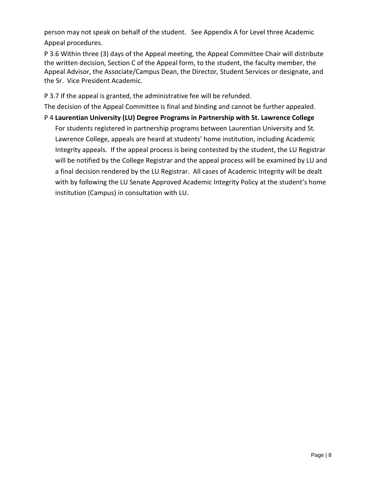person may not speak on behalf of the student. See Appendix A for Level three Academic Appeal procedures.

P 3.6 Within three (3) days of the Appeal meeting, the Appeal Committee Chair will distribute the written decision, Section C of the Appeal form, to the student, the faculty member, the Appeal Advisor, the Associate/Campus Dean, the Director, Student Services or designate, and the Sr. Vice President Academic.

P 3.7 If the appeal is granted, the administrative fee will be refunded.

The decision of the Appeal Committee is final and binding and cannot be further appealed.

P 4 **Laurentian University (LU) Degree Programs in Partnership with St. Lawrence College**

For students registered in partnership programs between Laurentian University and St. Lawrence College, appeals are heard at students' home institution, including Academic Integrity appeals. If the appeal process is being contested by the student, the LU Registrar will be notified by the College Registrar and the appeal process will be examined by LU and a final decision rendered by the LU Registrar. All cases of Academic Integrity will be dealt with by following the LU Senate Approved Academic Integrity Policy at the student's home institution (Campus) in consultation with LU.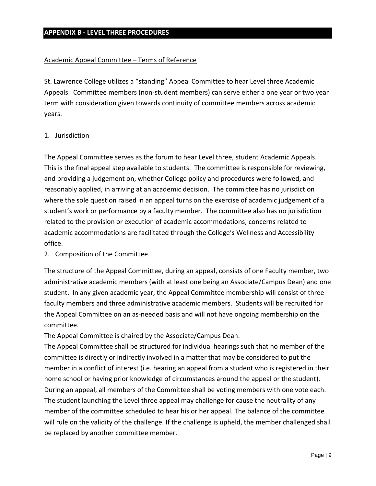#### Academic Appeal Committee – Terms of Reference

St. Lawrence College utilizes a "standing" Appeal Committee to hear Level three Academic Appeals. Committee members (non-student members) can serve either a one year or two year term with consideration given towards continuity of committee members across academic years.

#### 1. Jurisdiction

The Appeal Committee serves as the forum to hear Level three, student Academic Appeals. This is the final appeal step available to students. The committee is responsible for reviewing, and providing a judgement on, whether College policy and procedures were followed, and reasonably applied, in arriving at an academic decision. The committee has no jurisdiction where the sole question raised in an appeal turns on the exercise of academic judgement of a student's work or performance by a faculty member. The committee also has no jurisdiction related to the provision or execution of academic accommodations; concerns related to academic accommodations are facilitated through the College's Wellness and Accessibility office.

2. Composition of the Committee

The structure of the Appeal Committee, during an appeal, consists of one Faculty member, two administrative academic members (with at least one being an Associate/Campus Dean) and one student. In any given academic year, the Appeal Committee membership will consist of three faculty members and three administrative academic members. Students will be recruited for the Appeal Committee on an as-needed basis and will not have ongoing membership on the committee.

The Appeal Committee is chaired by the Associate/Campus Dean.

The Appeal Committee shall be structured for individual hearings such that no member of the committee is directly or indirectly involved in a matter that may be considered to put the member in a conflict of interest (i.e. hearing an appeal from a student who is registered in their home school or having prior knowledge of circumstances around the appeal or the student). During an appeal, all members of the Committee shall be voting members with one vote each. The student launching the Level three appeal may challenge for cause the neutrality of any member of the committee scheduled to hear his or her appeal. The balance of the committee will rule on the validity of the challenge. If the challenge is upheld, the member challenged shall be replaced by another committee member.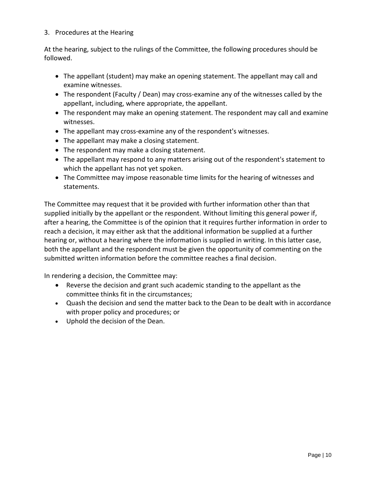#### 3. Procedures at the Hearing

At the hearing, subject to the rulings of the Committee, the following procedures should be followed.

- The appellant (student) may make an opening statement. The appellant may call and examine witnesses.
- The respondent (Faculty / Dean) may cross-examine any of the witnesses called by the appellant, including, where appropriate, the appellant.
- The respondent may make an opening statement. The respondent may call and examine witnesses.
- The appellant may cross-examine any of the respondent's witnesses.
- The appellant may make a closing statement.
- The respondent may make a closing statement.
- The appellant may respond to any matters arising out of the respondent's statement to which the appellant has not yet spoken.
- The Committee may impose reasonable time limits for the hearing of witnesses and statements.

The Committee may request that it be provided with further information other than that supplied initially by the appellant or the respondent. Without limiting this general power if, after a hearing, the Committee is of the opinion that it requires further information in order to reach a decision, it may either ask that the additional information be supplied at a further hearing or, without a hearing where the information is supplied in writing. In this latter case, both the appellant and the respondent must be given the opportunity of commenting on the submitted written information before the committee reaches a final decision.

In rendering a decision, the Committee may:

- Reverse the decision and grant such academic standing to the appellant as the committee thinks fit in the circumstances;
- Quash the decision and send the matter back to the Dean to be dealt with in accordance with proper policy and procedures; or
- Uphold the decision of the Dean.